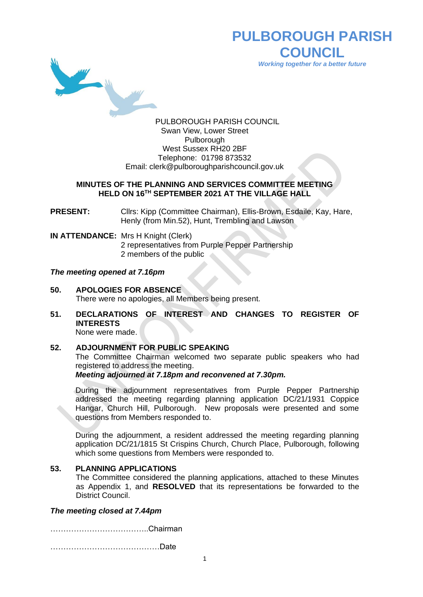

# **PULBOROUGH PARISH COUNCIL** *Working together for a better future*

PULBOROUGH PARISH COUNCIL Swan View, Lower Street Pulborough West Sussex RH20 2BF Telephone: 01798 873532 Email: [clerk@pulboroughparishcouncil.gov.uk](mailto:clerk@pulboroughparishcouncil.gov.uk)

#### **MINUTES OF THE PLANNING AND SERVICES COMMITTEE MEETING HELD ON 16TH SEPTEMBER 2021 AT THE VILLAGE HALL**

**PRESENT:** Cllrs: Kipp (Committee Chairman), Ellis-Brown, Esdaile, Kay, Hare, Henly (from Min.52), Hunt, Trembling and Lawson

**IN ATTENDANCE:** Mrs H Knight (Clerk) 2 representatives from Purple Pepper Partnership 2 members of the public

#### *The meeting opened at 7.16pm*

- **50. APOLOGIES FOR ABSENCE** There were no apologies, all Members being present.
- **51. DECLARATIONS OF INTEREST AND CHANGES TO REGISTER OF INTERESTS** None were made.

# **52. ADJOURNMENT FOR PUBLIC SPEAKING**

The Committee Chairman welcomed two separate public speakers who had registered to address the meeting.

*Meeting adjourned at 7.18pm and reconvened at 7.30pm.*

During the adjournment representatives from Purple Pepper Partnership addressed the meeting regarding planning application DC/21/1931 Coppice Hangar, Church Hill, Pulborough. New proposals were presented and some questions from Members responded to.

During the adjournment, a resident addressed the meeting regarding planning application DC/21/1815 St Crispins Church, Church Place, Pulborough, following which some questions from Members were responded to.

### **53. PLANNING APPLICATIONS**

The Committee considered the planning applications, attached to these Minutes as Appendix 1, and **RESOLVED** that its representations be forwarded to the District Council.

### *The meeting closed at 7.44pm*

………………………………..Chairman

……………………………………Date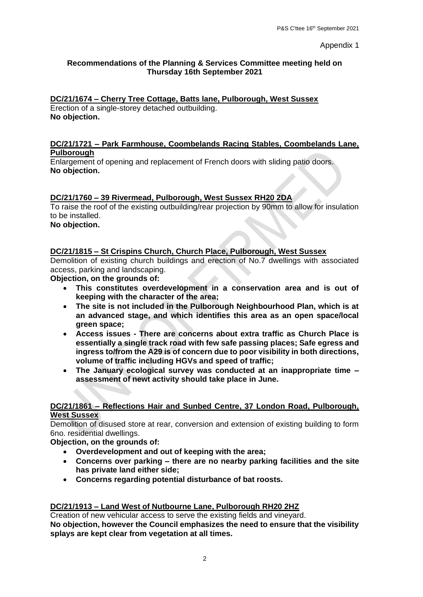#### Appendix 1

### **Recommendations of the Planning & Services Committee meeting held on Thursday 16th September 2021**

### **DC/21/1674 – Cherry Tree Cottage, Batts lane, Pulborough, West Sussex**

Erection of a single-storey detached outbuilding. **No objection.**

### **DC/21/1721 – Park Farmhouse, Coombelands Racing Stables, Coombelands Lane, Pulborough**

Enlargement of opening and replacement of French doors with sliding patio doors. **No objection.**

# **DC/21/1760 – 39 Rivermead, Pulborough, West Sussex RH20 2DA**

To raise the roof of the existing outbuilding/rear projection by 90mm to allow for insulation to be installed. **No objection.**

# **DC/21/1815 – St Crispins Church, Church Place, Pulborough, West Sussex**

Demolition of existing church buildings and erection of No.7 dwellings with associated access, parking and landscaping.

**Objection, on the grounds of:** 

- **This constitutes overdevelopment in a conservation area and is out of keeping with the character of the area;**
- **The site is not included in the Pulborough Neighbourhood Plan, which is at an advanced stage, and which identifies this area as an open space/local green space;**
- **Access issues - There are concerns about extra traffic as Church Place is essentially a single track road with few safe passing places; Safe egress and ingress to/from the A29 is of concern due to poor visibility in both directions, volume of traffic including HGVs and speed of traffic;**
- **The January ecological survey was conducted at an inappropriate time – assessment of newt activity should take place in June.**

#### **DC/21/1861 – Reflections Hair and Sunbed Centre, 37 London Road, Pulborough, West Sussex**

Demolition of disused store at rear, conversion and extension of existing building to form 6no. residential dwellings.

**Objection, on the grounds of:**

- **Overdevelopment and out of keeping with the area;**
- **Concerns over parking – there are no nearby parking facilities and the site has private land either side;**
- **Concerns regarding potential disturbance of bat roosts.**

### **DC/21/1913 – Land West of Nutbourne Lane, Pulborough RH20 2HZ**

Creation of new vehicular access to serve the existing fields and vineyard. **No objection, however the Council emphasizes the need to ensure that the visibility splays are kept clear from vegetation at all times.**